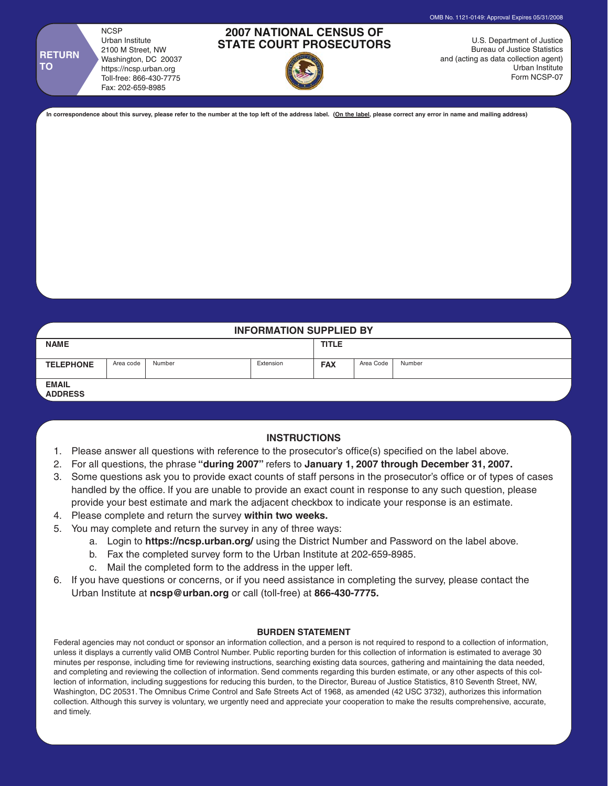**NCSP** Urban Institute 2100 M Street, NW Washington, DC 20037 https://ncsp.urban.org Toll-free: 866-430-7775 Fax: 202-659-8985

**RETURN TO**

## **2007 NATIONAL CENSUS OF STATE COURT PROSECUTORS**



U.S. Department of Justice Bureau of Justice Statistics and (acting as data collection agent) Urban Institute Form NCSP-07

OMB No. 1121-0149: Approval Expires 05/31/2008

**In correspondence about this survey, please refer to the number at the top left of the address label. (On the label, please correct any error in name and mailing address)**

# **INFORMATION SUPPLIED BY NAME TITLE TELEPHONE** Area code Number **FAX EMAIL ADDRESS** Area code | Number | Extension | FAX | Area Code | Number

### **INSTRUCTIONS**

- 1. Please answer all questions with reference to the prosecutor's office(s) specified on the label above.
- 2. For all questions, the phrase **"during 2007"** refers to **January 1, 2007 through December 31, 2007.**
- 3. Some questions ask you to provide exact counts of staff persons in the prosecutor's office or of types of cases handled by the office. If you are unable to provide an exact count in response to any such question, please provide your best estimate and mark the adjacent checkbox to indicate your response is an estimate.
- 4. Please complete and return the survey **within two weeks.**
- 5. You may complete and return the survey in any of three ways:
	- a. Login to **https://ncsp.urban.org/** using the District Number and Password on the label above.
	- b. Fax the completed survey form to the Urban Institute at 202-659-8985.
	- c. Mail the completed form to the address in the upper left.
- 6. If you have questions or concerns, or if you need assistance in completing the survey, please contact the Urban Institute at **ncsp@urban.org** or call (toll-free) at **866-430-7775.**

### **BURDEN STATEMENT**

Federal agencies may not conduct or sponsor an information collection, and a person is not required to respond to a collection of information, unless it displays a currently valid OMB Control Number. Public reporting burden for this collection of information is estimated to average 30 minutes per response, including time for reviewing instructions, searching existing data sources, gathering and maintaining the data needed, and completing and reviewing the collection of information. Send comments regarding this burden estimate, or any other aspects of this collection of information, including suggestions for reducing this burden, to the Director, Bureau of Justice Statistics, 810 Seventh Street, NW, Washington, DC 20531. The Omnibus Crime Control and Safe Streets Act of 1968, as amended (42 USC 3732), authorizes this information collection. Although this survey is voluntary, we urgently need and appreciate your cooperation to make the results comprehensive, accurate, and timely.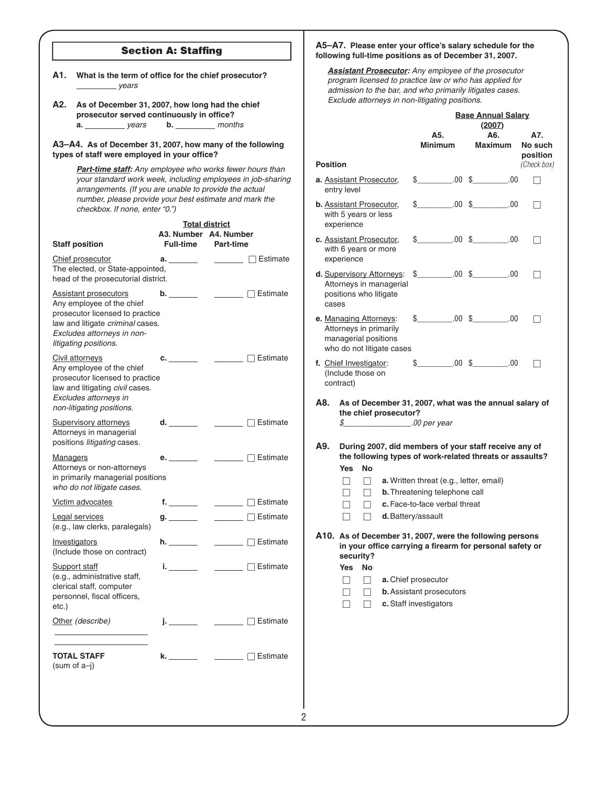## **Section A: Staffing**

- A1. What is the term of office for the chief prosecutor? *years*
- **A2. As of December 31, 2007, how long had the chief**  prosecutor served continuously in office? **a.** *years* **b.** *months*

**A3–A4. As of December 31, 2007, how many of the following**  types of staff were employed in your office?

> *Part-time staff: Any employee who works fewer hours than your standard work week, including employees in job-sharing arrangements. (If you are unable to provide the actual number, please provide your best estimate and mark the checkbox. If none, enter "0.")*

> > **Total district**

| <b>Staff position</b>                                                                                                                                                                   | A3. Number<br><b>Full-time</b> | A4. Number<br><b>Part-time</b>                            |                        |
|-----------------------------------------------------------------------------------------------------------------------------------------------------------------------------------------|--------------------------------|-----------------------------------------------------------|------------------------|
| Chief prosecutor<br>The elected, or State-appointed,<br>head of the prosecutorial district.                                                                                             | a. $\qquad \qquad$             |                                                           | $\Box$ Estimate        |
| <b>Assistant prosecutors</b><br>Any employee of the chief<br>prosecutor licensed to practice<br>law and litigate criminal cases.<br>Excludes attorneys in non-<br>litigating positions. | b. _______                     |                                                           | $\Box$ Estimate        |
| Civil attorneys<br>Any employee of the chief<br>prosecutor licensed to practice<br>law and litigating civil cases.<br>Excludes attorneys in<br>non-litigating positions.                | c. $\_\_$                      |                                                           | $\sqcap$ Estimate      |
| <b>Supervisory attorneys</b><br>Attorneys in managerial<br>positions litigating cases.                                                                                                  | d. ________                    |                                                           | <u>Net</u> Estimate    |
| <b>Managers</b><br>Attorneys or non-attorneys<br>in primarily managerial positions<br>who do not litigate cases.                                                                        | e. In the set                  |                                                           | <u> </u> □ Estimate    |
| Victim advocates                                                                                                                                                                        | f. _______                     |                                                           | $\Box$ $\Box$ Estimate |
| Legal services<br>(e.g., law clerks, paralegals)                                                                                                                                        |                                |                                                           | <b>Estimate</b>        |
| Investigators<br>(Include those on contract)                                                                                                                                            | h.                             |                                                           | □ Estimate             |
| <b>Support staff</b><br>(e.g., administrative staff,<br>clerical staff, computer<br>personnel, fiscal officers,<br>etc.)                                                                | i. <u>.</u>                    | $\mathcal{L}^{\text{max}}$ and $\mathcal{L}^{\text{max}}$ | $\Box$ Estimate        |
| Other (describe)                                                                                                                                                                        | $\mathbf{i}$                   |                                                           | $\Box$ $\Box$ Estimate |
| <b>TOTAL STAFF</b><br>(sum of $a-j$ )                                                                                                                                                   | k. I                           |                                                           | $\Box$ Estimate        |
|                                                                                                                                                                                         |                                |                                                           |                        |

#### A5-A7. Please enter your office's salary schedule for the **following full-time positions as of December 31, 2007.**

*Assistant Prosecutor: Any employee of the prosecutor program licensed to practice law or who has applied for admission to the bar, and who primarily litigates cases. Exclude attorneys in non-litigating positions.*

| (2007)<br>A6.<br>A5.<br>A7.<br><b>Minimum</b><br><b>Maximum</b><br>No such<br>position<br>(Check box)<br><b>Position</b><br>$\text{\$} \qquad \qquad .00 \; \text{\$} \qquad \qquad .00$<br>a. Assistant Prosecutor,<br>entry level<br>$\text{\$} \qquad \qquad .00 \quad \text{\$} \qquad \qquad .00$<br>b. Assistant Prosecutor,<br>$\perp$<br>with 5 years or less<br>experience<br>$$00 \t$$ .00 \$ .00<br>c. Assistant Prosecutor,<br>with 6 years or more<br>experience<br>$$$ 00 \$ 00 00<br>d. Supervisory Attorneys:<br>$\perp$<br>Attorneys in managerial<br>positions who litigate<br>cases<br>$$$ 00 \$ 00 00<br>e. Managing Attorneys:<br>- 1<br>Attorneys in primarily<br>managerial positions<br>who do not litigate cases<br>$.00\text{ \& } 0.00$<br>\$ |  |  |  |  |  |  |
|--------------------------------------------------------------------------------------------------------------------------------------------------------------------------------------------------------------------------------------------------------------------------------------------------------------------------------------------------------------------------------------------------------------------------------------------------------------------------------------------------------------------------------------------------------------------------------------------------------------------------------------------------------------------------------------------------------------------------------------------------------------------------|--|--|--|--|--|--|
|                                                                                                                                                                                                                                                                                                                                                                                                                                                                                                                                                                                                                                                                                                                                                                          |  |  |  |  |  |  |
|                                                                                                                                                                                                                                                                                                                                                                                                                                                                                                                                                                                                                                                                                                                                                                          |  |  |  |  |  |  |
|                                                                                                                                                                                                                                                                                                                                                                                                                                                                                                                                                                                                                                                                                                                                                                          |  |  |  |  |  |  |
|                                                                                                                                                                                                                                                                                                                                                                                                                                                                                                                                                                                                                                                                                                                                                                          |  |  |  |  |  |  |
|                                                                                                                                                                                                                                                                                                                                                                                                                                                                                                                                                                                                                                                                                                                                                                          |  |  |  |  |  |  |
|                                                                                                                                                                                                                                                                                                                                                                                                                                                                                                                                                                                                                                                                                                                                                                          |  |  |  |  |  |  |
|                                                                                                                                                                                                                                                                                                                                                                                                                                                                                                                                                                                                                                                                                                                                                                          |  |  |  |  |  |  |
| f. Chief Investigator:<br>ΞI<br>(Include those on<br>contract)                                                                                                                                                                                                                                                                                                                                                                                                                                                                                                                                                                                                                                                                                                           |  |  |  |  |  |  |
| A8.<br>As of December 31, 2007, what was the annual salary of<br>the chief prosecutor?<br>$\frac{s}{s}$ .00 per year<br>A9.<br>During 2007, did members of your staff receive any of<br>the following types of work-related threats or assaults?<br>Yes<br>No<br>a. Written threat (e.g., letter, email)<br>$\overline{\phantom{0}}$<br>$\overline{\phantom{a}}$<br><b>b.</b> Threatening telephone call<br>$\mathsf{L}$<br>$\Box$<br>c. Face-to-face verbal threat<br>- 1<br>d. Battery/assault<br>A10. As of December 31, 2007, were the following persons<br>in your office carrying a firearm for personal safety or<br>security?<br>No<br>Yes<br>a. Chief prosecutor<br>П<br>$\perp$<br><b>b.</b> Assistant prosecutors<br>П<br>c. Staff investigators<br>$\perp$   |  |  |  |  |  |  |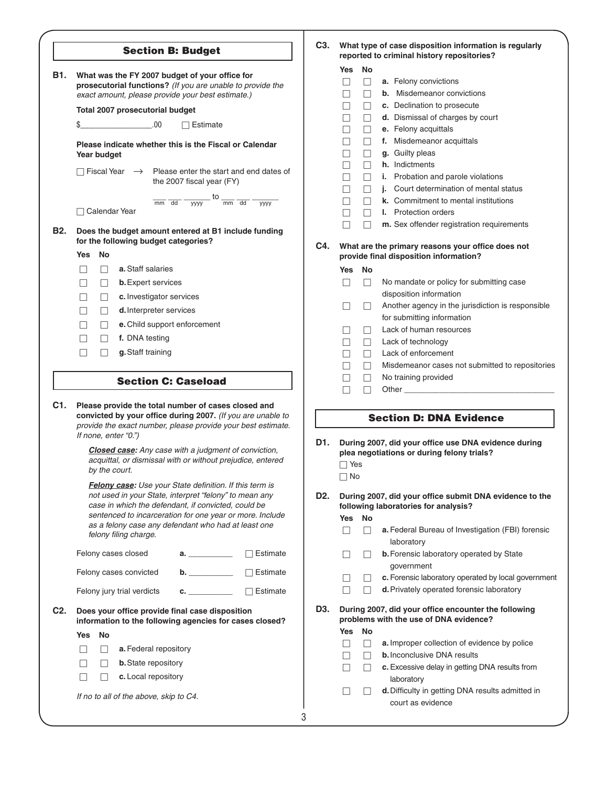|                  | <b>Section B: Budget</b>                                                                                                                                                                                                                                                                                             | C <sub>3</sub> . |                                                                                               |                         | What type of case disposition information is regularly<br>reported to criminal history repositories?                                                               |
|------------------|----------------------------------------------------------------------------------------------------------------------------------------------------------------------------------------------------------------------------------------------------------------------------------------------------------------------|------------------|-----------------------------------------------------------------------------------------------|-------------------------|--------------------------------------------------------------------------------------------------------------------------------------------------------------------|
| B1.              | What was the FY 2007 budget of your office for<br>prosecutorial functions? (If you are unable to provide the<br>exact amount, please provide your best estimate.)                                                                                                                                                    |                  | Yes<br>$\mathsf{L}$                                                                           | No<br>$\Box$<br>$\perp$ | a. Felony convictions<br><b>b.</b> Misdemeanor convictions                                                                                                         |
|                  | Total 2007 prosecutorial budget                                                                                                                                                                                                                                                                                      |                  |                                                                                               | $\Box$                  | c. Declination to prosecute                                                                                                                                        |
|                  | $\sim$ 00.<br>\$<br>$\Box$ Estimate                                                                                                                                                                                                                                                                                  |                  |                                                                                               | $\Box$                  | d. Dismissal of charges by court                                                                                                                                   |
|                  |                                                                                                                                                                                                                                                                                                                      |                  |                                                                                               | $\Box$                  | e. Felony acquittals<br>f. Misdemeanor acquittals                                                                                                                  |
|                  | Please indicate whether this is the Fiscal or Calendar<br>Year budget                                                                                                                                                                                                                                                |                  |                                                                                               | $\Box$<br>$\Box$        | g. Guilty pleas                                                                                                                                                    |
|                  |                                                                                                                                                                                                                                                                                                                      |                  |                                                                                               | $\Box$                  | h. Indictments                                                                                                                                                     |
|                  | $\Box$ Fiscal Year $\rightarrow$ Please enter the start and end dates of<br>the 2007 fiscal year (FY)                                                                                                                                                                                                                |                  |                                                                                               | $\Box$                  | Probation and parole violations<br>i.                                                                                                                              |
|                  |                                                                                                                                                                                                                                                                                                                      |                  |                                                                                               | П                       | Court determination of mental status<br>j.                                                                                                                         |
|                  | $\frac{1}{\text{yyyy}}$ to $\frac{1}{\text{mm}}$ $\frac{1}{\text{dd}}$<br>$\overline{mm}$ dd<br>$\overline{yyyy}$                                                                                                                                                                                                    |                  |                                                                                               | $\vert \ \ \vert$       | k. Commitment to mental institutions                                                                                                                               |
|                  | □ Calendar Year                                                                                                                                                                                                                                                                                                      |                  |                                                                                               | $\vert \ \ \vert$       | <b>I.</b> Protection orders                                                                                                                                        |
| <b>B2.</b>       | Does the budget amount entered at B1 include funding<br>for the following budget categories?                                                                                                                                                                                                                         | C4.              |                                                                                               | П                       | m. Sex offender registration requirements<br>What are the primary reasons your office does not                                                                     |
|                  | No<br>Yes                                                                                                                                                                                                                                                                                                            |                  |                                                                                               |                         | provide final disposition information?                                                                                                                             |
|                  | a. Staff salaries<br>$\perp$<br>$\mathsf{L}$                                                                                                                                                                                                                                                                         |                  | Yes No                                                                                        |                         |                                                                                                                                                                    |
|                  | <b>b.</b> Expert services<br>$\Box$<br>$\mathsf{L}$                                                                                                                                                                                                                                                                  |                  | П                                                                                             | □                       | No mandate or policy for submitting case                                                                                                                           |
|                  | c. Investigator services<br>П<br>$\perp$                                                                                                                                                                                                                                                                             |                  |                                                                                               |                         | disposition information                                                                                                                                            |
|                  | d. Interpreter services<br>$\perp$<br>$\Box$                                                                                                                                                                                                                                                                         |                  | $\Box$                                                                                        | $\Box$                  | Another agency in the jurisdiction is responsible                                                                                                                  |
|                  | e. Child support enforcement<br>$\vert \ \ \vert$<br>$\Box$                                                                                                                                                                                                                                                          |                  |                                                                                               |                         | for submitting information                                                                                                                                         |
|                  | f. DNA testing<br>П<br>П                                                                                                                                                                                                                                                                                             |                  | $\vert \ \ \vert$                                                                             | $\perp$                 | Lack of human resources                                                                                                                                            |
|                  | g. Staff training                                                                                                                                                                                                                                                                                                    |                  | $\vert \ \ \vert$                                                                             | □                       | Lack of technology                                                                                                                                                 |
|                  | $\Box$<br>$\Box$                                                                                                                                                                                                                                                                                                     |                  | $\mathsf{L}$                                                                                  | П                       | Lack of enforcement<br>Misdemeanor cases not submitted to repositories                                                                                             |
|                  |                                                                                                                                                                                                                                                                                                                      |                  | $\vert \ \ \vert$<br>$\vert \ \ \vert$                                                        | □<br>□                  | No training provided                                                                                                                                               |
|                  | <b>Section C: Caseload</b>                                                                                                                                                                                                                                                                                           |                  | П                                                                                             | П                       |                                                                                                                                                                    |
| C1.              | Please provide the total number of cases closed and<br>convicted by your office during 2007. (If you are unable to<br>provide the exact number, please provide your best estimate.<br>If none, enter "0.")                                                                                                           |                  | <b>Section D: DNA Evidence</b><br>D1.<br>During 2007, did your office use DNA evidence during |                         |                                                                                                                                                                    |
|                  | <b>Closed case:</b> Any case with a judgment of conviction,<br>acquittal, or dismissal with or without prejudice, entered<br>by the court.                                                                                                                                                                           |                  | $\Box$ Yes<br>$\Box$ No                                                                       |                         | plea negotiations or during felony trials?                                                                                                                         |
|                  | Felony case: Use your State definition. If this term is<br>not used in your State, interpret "felony" to mean any<br>case in which the defendant, if convicted, could be<br>sentenced to incarceration for one year or more. Include<br>as a felony case any defendant who had at least one<br>felony filing charge. | D <sub>2</sub> . | Yes No<br>$\Box$                                                                              | $\vert \ \ \vert$       | During 2007, did your office submit DNA evidence to the<br>following laboratories for analysis?<br>a. Federal Bureau of Investigation (FBI) forensic<br>laboratory |
|                  | Felony cases closed<br>$\Box$ Estimate<br>a. $\qquad \qquad$                                                                                                                                                                                                                                                         |                  |                                                                                               |                         | <b>b.</b> Forensic laboratory operated by State                                                                                                                    |
|                  | <b>b. b</b> .<br>Felony cases convicted<br>$\Box$ Estimate                                                                                                                                                                                                                                                           |                  |                                                                                               |                         | government                                                                                                                                                         |
|                  |                                                                                                                                                                                                                                                                                                                      |                  |                                                                                               |                         | c. Forensic laboratory operated by local government                                                                                                                |
|                  | $\mathbf{c}$ , and the set of $\mathbf{c}$<br>Felony jury trial verdicts<br>$\Box$ Estimate                                                                                                                                                                                                                          |                  | H                                                                                             | П                       | <b>d.</b> Privately operated forensic laboratory                                                                                                                   |
| C <sub>2</sub> . | Does your office provide final case disposition<br>information to the following agencies for cases closed?                                                                                                                                                                                                           | D3.              |                                                                                               |                         | During 2007, did your office encounter the following<br>problems with the use of DNA evidence?                                                                     |
|                  | No<br><b>Yes</b>                                                                                                                                                                                                                                                                                                     |                  | Yes No<br>П                                                                                   | $\Box$                  | a. Improper collection of evidence by police                                                                                                                       |
|                  | a. Federal repository<br>П<br>$\perp$                                                                                                                                                                                                                                                                                |                  | $\vert \ \ \vert$                                                                             | $\perp$                 | <b>b.</b> Inconclusive DNA results                                                                                                                                 |
|                  | <b>b.</b> State repository<br>□<br>$\perp$                                                                                                                                                                                                                                                                           |                  |                                                                                               | $\vert \ \ \vert$       | c. Excessive delay in getting DNA results from                                                                                                                     |
|                  | c. Local repository<br>$\Box$<br>$\Box$                                                                                                                                                                                                                                                                              |                  |                                                                                               |                         | laboratory                                                                                                                                                         |
|                  | If no to all of the above, skip to C4.                                                                                                                                                                                                                                                                               |                  |                                                                                               |                         | d. Difficulty in getting DNA results admitted in<br>court as evidence                                                                                              |
|                  |                                                                                                                                                                                                                                                                                                                      |                  |                                                                                               |                         |                                                                                                                                                                    |